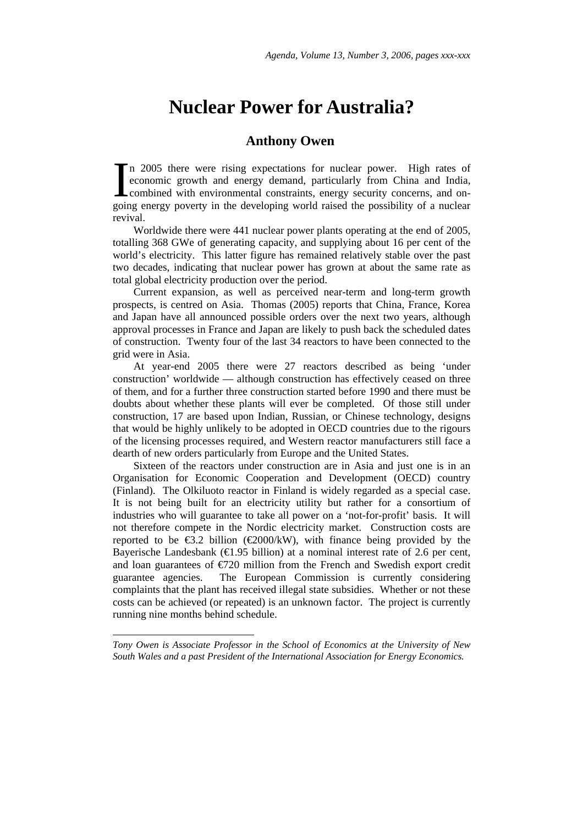# **Nuclear Power for Australia?**

## **Anthony Owen**

In 2005 there were rising expectations for nuclear power. High rates of economic growth and energy demand, particularly from China and India, combined with environmental constraints, energy security concerns, and oneconomic growth and energy demand, particularly from China and India, combined with environmental constraints, energy security concerns, and ongoing energy poverty in the developing world raised the possibility of a nuclear revival.

Worldwide there were 441 nuclear power plants operating at the end of 2005, totalling 368 GWe of generating capacity, and supplying about 16 per cent of the world's electricity. This latter figure has remained relatively stable over the past two decades, indicating that nuclear power has grown at about the same rate as total global electricity production over the period.

Current expansion, as well as perceived near-term and long-term growth prospects, is centred on Asia. Thomas (2005) reports that China, France, Korea and Japan have all announced possible orders over the next two years, although approval processes in France and Japan are likely to push back the scheduled dates of construction. Twenty four of the last 34 reactors to have been connected to the grid were in Asia.

At year-end 2005 there were 27 reactors described as being 'under construction' worldwide — although construction has effectively ceased on three of them, and for a further three construction started before 1990 and there must be doubts about whether these plants will ever be completed. Of those still under construction, 17 are based upon Indian, Russian, or Chinese technology, designs that would be highly unlikely to be adopted in OECD countries due to the rigours of the licensing processes required, and Western reactor manufacturers still face a dearth of new orders particularly from Europe and the United States.

Sixteen of the reactors under construction are in Asia and just one is in an Organisation for Economic Cooperation and Development (OECD) country (Finland). The Olkiluoto reactor in Finland is widely regarded as a special case. It is not being built for an electricity utility but rather for a consortium of industries who will guarantee to take all power on a 'not-for-profit' basis. It will not therefore compete in the Nordic electricity market. Construction costs are reported to be  $\epsilon$ 3.2 billion ( $\epsilon$ 2000/kW), with finance being provided by the Bayerische Landesbank ( $\in$ 1.95 billion) at a nominal interest rate of 2.6 per cent, and loan guarantees of €720 million from the French and Swedish export credit guarantee agencies. The European Commission is currently considering complaints that the plant has received illegal state subsidies. Whether or not these costs can be achieved (or repeated) is an unknown factor. The project is currently running nine months behind schedule.

<span id="page-0-0"></span>*Tony Owen is Associate Professor in the School of Economics at the University of New South Wales and a past President of the International Association for Energy Economics.* 

l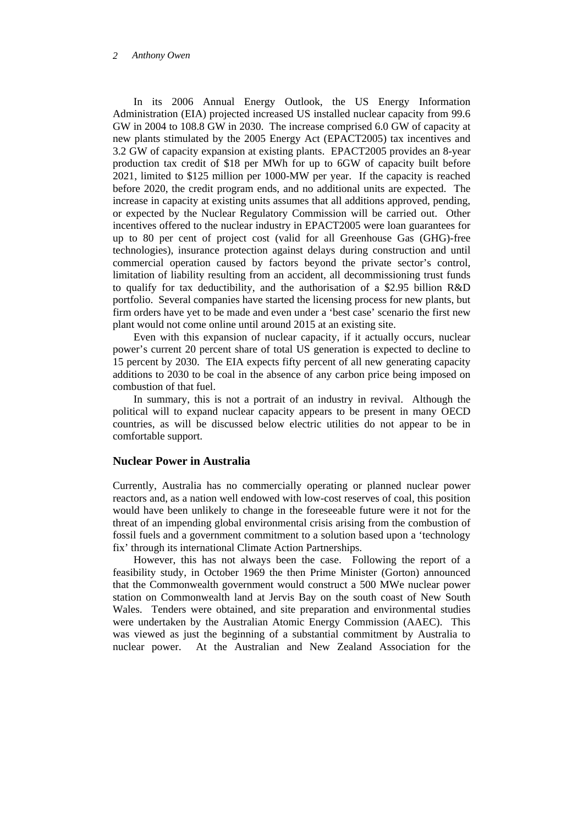In its 2006 Annual Energy Outlook, the US Energy Information Administration (EIA) projected increased US installed nuclear capacity from 99.6 GW in 2004 to 108.8 GW in 2030. The increase comprised 6.0 GW of capacity at new plants stimulated by the 2005 Energy Act (EPACT2005) tax incentives and 3.2 GW of capacity expansion at existing plants. EPACT2005 provides an 8-year production tax credit of \$18 per MWh for up to 6GW of capacity built before 2021, limited to \$125 million per 1000-MW per year. If the capacity is reached before 2020, the credit program ends, and no additional units are expected. The increase in capacity at existing units assumes that all additions approved, pending, or expected by the Nuclear Regulatory Commission will be carried out. Other incentives offered to the nuclear industry in EPACT2005 were loan guarantees for up to 80 per cent of project cost (valid for all Greenhouse Gas (GHG)-free technologies), insurance protection against delays during construction and until commercial operation caused by factors beyond the private sector's control, limitation of liability resulting from an accident, all decommissioning trust funds to qualify for tax deductibility, and the authorisation of a \$2.95 billion R&D portfolio. Several companies have started the licensing process for new plants, but firm orders have yet to be made and even under a 'best case' scenario the first new plant would not come online until around 2015 at an existing site.

Even with this expansion of nuclear capacity, if it actually occurs, nuclear power's current 20 percent share of total US generation is expected to decline to 15 percent by 2030. The EIA expects fifty percent of all new generating capacity additions to 2030 to be coal in the absence of any carbon price being imposed on combustion of that fuel.

In summary, this is not a portrait of an industry in revival. Although the political will to expand nuclear capacity appears to be present in many OECD countries, as will be discussed below electric utilities do not appear to be in comfortable support.

### **Nuclear Power in Australia**

Currently, Australia has no commercially operating or planned nuclear power reactors and, as a nation well endowed with low-cost reserves of coal, this position would have been unlikely to change in the foreseeable future were it not for the threat of an impending global environmental crisis arising from the combustion of fossil fuels and a government commitment to a solution based upon a 'technology fix' through its international Climate Action Partnerships.

However, this has not always been the case. Following the report of a feasibility study, in October 1969 the then Prime Minister (Gorton) announced that the Commonwealth government would construct a 500 MWe nuclear power station on Commonwealth land at Jervis Bay on the south coast of New South Wales. Tenders were obtained, and site preparation and environmental studies were undertaken by the Australian Atomic Energy Commission (AAEC). This was viewed as just the beginning of a substantial commitment by Australia to nuclear power. At the Australian and New Zealand Association for the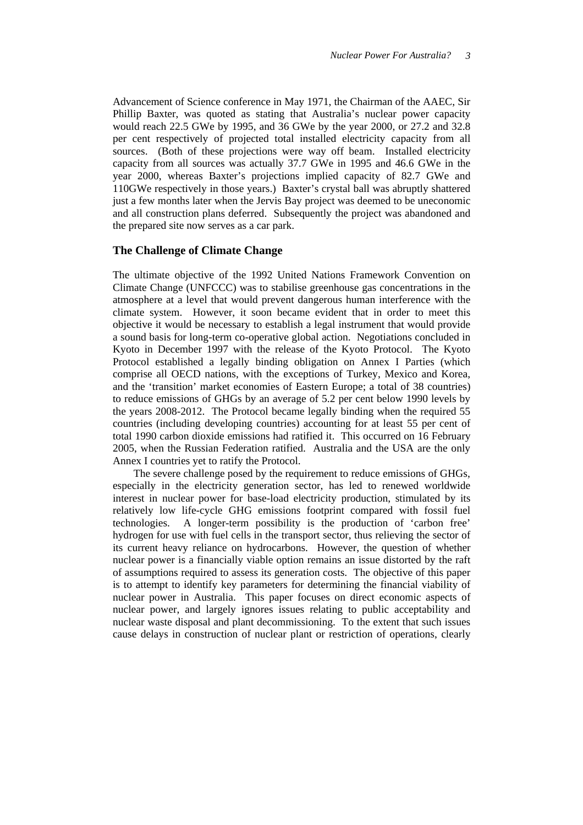Advancement of Science conference in May 1971, the Chairman of the AAEC, Sir Phillip Baxter, was quoted as stating that Australia's nuclear power capacity would reach 22.5 GWe by 1995, and 36 GWe by the year 2000, or 27.2 and 32.8 per cent respectively of projected total installed electricity capacity from all sources. (Both of these projections were way off beam. Installed electricity capacity from all sources was actually 37.7 GWe in 1995 and 46.6 GWe in the year 2000, whereas Baxter's projections implied capacity of 82.7 GWe and 110GWe respectively in those years.) Baxter's crystal ball was abruptly shattered just a few months later when the Jervis Bay project was deemed to be uneconomic and all construction plans deferred. Subsequently the project was abandoned and the prepared site now serves as a car park.

### **The Challenge of Climate Change**

The ultimate objective of the 1992 United Nations Framework Convention on Climate Change (UNFCCC) was to stabilise greenhouse gas concentrations in the atmosphere at a level that would prevent dangerous human interference with the climate system. However, it soon became evident that in order to meet this objective it would be necessary to establish a legal instrument that would provide a sound basis for long-term co-operative global action. Negotiations concluded in Kyoto in December 1997 with the release of the Kyoto Protocol. The Kyoto Protocol established a legally binding obligation on Annex I Parties (which comprise all OECD nations, with the exceptions of Turkey, Mexico and Korea, and the 'transition' market economies of Eastern Europe; a total of 38 countries) to reduce emissions of GHGs by an average of 5.2 per cent below 1990 levels by the years 2008-2012. The Protocol became legally binding when the required 55 countries (including developing countries) accounting for at least 55 per cent of total 1990 carbon dioxide emissions had ratified it. This occurred on 16 February 2005, when the Russian Federation ratified. Australia and the USA are the only Annex I countries yet to ratify the Protocol.

The severe challenge posed by the requirement to reduce emissions of GHGs, especially in the electricity generation sector, has led to renewed worldwide interest in nuclear power for base-load electricity production, stimulated by its relatively low life-cycle GHG emissions footprint compared with fossil fuel technologies. A longer-term possibility is the production of 'carbon free' hydrogen for use with fuel cells in the transport sector, thus relieving the sector of its current heavy reliance on hydrocarbons. However, the question of whether nuclear power is a financially viable option remains an issue distorted by the raft of assumptions required to assess its generation costs. The objective of this paper is to attempt to identify key parameters for determining the financial viability of nuclear power in Australia. This paper focuses on direct economic aspects of nuclear power, and largely ignores issues relating to public acceptability and nuclear waste disposal and plant decommissioning. To the extent that such issues cause delays in construction of nuclear plant or restriction of operations, clearly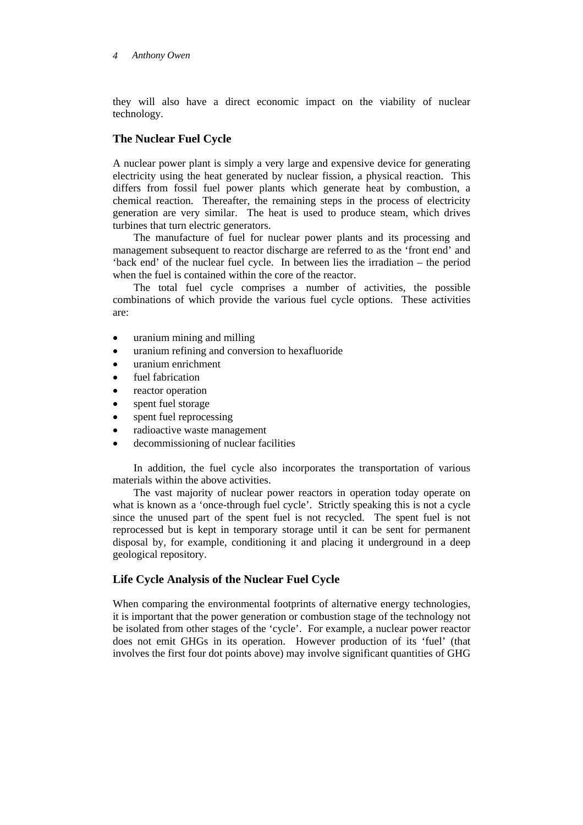they will also have a direct economic impact on the viability of nuclear technology.

## **The Nuclear Fuel Cycle**

A nuclear power plant is simply a very large and expensive device for generating electricity using the heat generated by nuclear fission, a physical reaction. This differs from fossil fuel power plants which generate heat by combustion, a chemical reaction. Thereafter, the remaining steps in the process of electricity generation are very similar. The heat is used to produce steam, which drives turbines that turn electric generators.

The manufacture of fuel for nuclear power plants and its processing and management subsequent to reactor discharge are referred to as the 'front end' and 'back end' of the nuclear fuel cycle. In between lies the irradiation – the period when the fuel is contained within the core of the reactor.

The total fuel cycle comprises a number of activities, the possible combinations of which provide the various fuel cycle options. These activities are:

- uranium mining and milling
- uranium refining and conversion to hexafluoride
- uranium enrichment
- fuel fabrication
- reactor operation
- spent fuel storage
- spent fuel reprocessing
- radioactive waste management
- decommissioning of nuclear facilities

In addition, the fuel cycle also incorporates the transportation of various materials within the above activities.

The vast majority of nuclear power reactors in operation today operate on what is known as a 'once-through fuel cycle'. Strictly speaking this is not a cycle since the unused part of the spent fuel is not recycled. The spent fuel is not reprocessed but is kept in temporary storage until it can be sent for permanent disposal by, for example, conditioning it and placing it underground in a deep geological repository.

## **Life Cycle Analysis of the Nuclear Fuel Cycle**

When comparing the environmental footprints of alternative energy technologies, it is important that the power generation or combustion stage of the technology not be isolated from other stages of the 'cycle'. For example, a nuclear power reactor does not emit GHGs in its operation. However production of its 'fuel' (that involves the first four dot points above) may involve significant quantities of GHG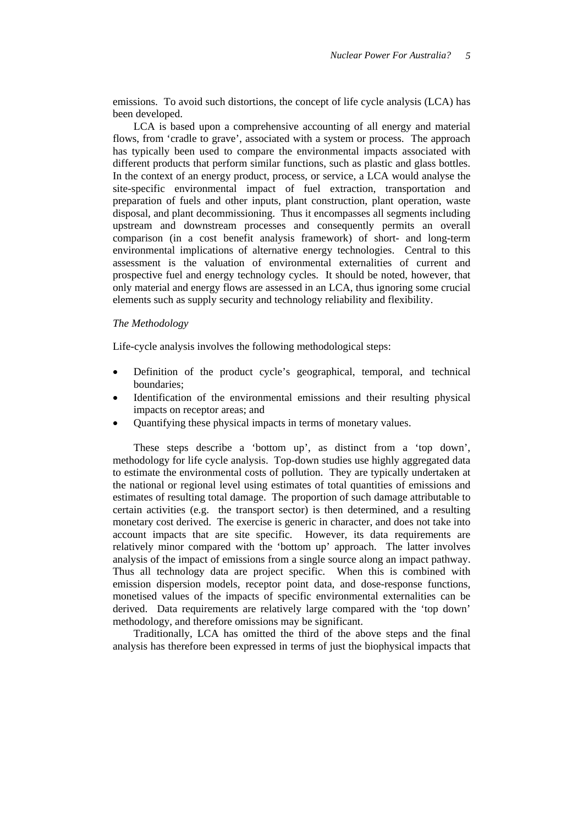emissions. To avoid such distortions, the concept of life cycle analysis (LCA) has been developed.

LCA is based upon a comprehensive accounting of all energy and material flows, from 'cradle to grave', associated with a system or process. The approach has typically been used to compare the environmental impacts associated with different products that perform similar functions, such as plastic and glass bottles. In the context of an energy product, process, or service, a LCA would analyse the site-specific environmental impact of fuel extraction, transportation and preparation of fuels and other inputs, plant construction, plant operation, waste disposal, and plant decommissioning. Thus it encompasses all segments including upstream and downstream processes and consequently permits an overall comparison (in a cost benefit analysis framework) of short- and long-term environmental implications of alternative energy technologies. Central to this assessment is the valuation of environmental externalities of current and prospective fuel and energy technology cycles. It should be noted, however, that only material and energy flows are assessed in an LCA, thus ignoring some crucial elements such as supply security and technology reliability and flexibility.

### *The Methodology*

Life-cycle analysis involves the following methodological steps:

- Definition of the product cycle's geographical, temporal, and technical boundaries;
- Identification of the environmental emissions and their resulting physical impacts on receptor areas; and
- Quantifying these physical impacts in terms of monetary values.

These steps describe a 'bottom up', as distinct from a 'top down', methodology for life cycle analysis. Top-down studies use highly aggregated data to estimate the environmental costs of pollution. They are typically undertaken at the national or regional level using estimates of total quantities of emissions and estimates of resulting total damage. The proportion of such damage attributable to certain activities (e.g. the transport sector) is then determined, and a resulting monetary cost derived. The exercise is generic in character, and does not take into account impacts that are site specific. However, its data requirements are relatively minor compared with the 'bottom up' approach. The latter involves analysis of the impact of emissions from a single source along an impact pathway. Thus all technology data are project specific. When this is combined with emission dispersion models, receptor point data, and dose-response functions, monetised values of the impacts of specific environmental externalities can be derived. Data requirements are relatively large compared with the 'top down' methodology, and therefore omissions may be significant.

Traditionally, LCA has omitted the third of the above steps and the final analysis has therefore been expressed in terms of just the biophysical impacts that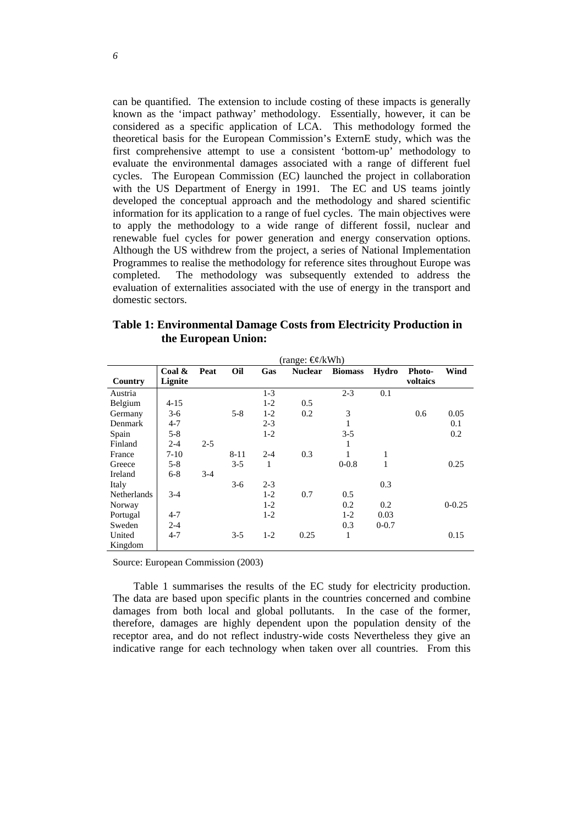can be quantified. The extension to include costing of these impacts is generally known as the 'impact pathway' methodology. Essentially, however, it can be considered as a specific application of LCA. This methodology formed the theoretical basis for the European Commission's ExternE study, which was the first comprehensive attempt to use a consistent 'bottom-up' methodology to evaluate the environmental damages associated with a range of different fuel cycles. The European Commission (EC) launched the project in collaboration with the US Department of Energy in 1991. The EC and US teams jointly developed the conceptual approach and the methodology and shared scientific information for its application to a range of fuel cycles. The main objectives were to apply the methodology to a wide range of different fossil, nuclear and renewable fuel cycles for power generation and energy conservation options. Although the US withdrew from the project, a series of National Implementation Programmes to realise the methodology for reference sites throughout Europe was completed. The methodology was subsequently extended to address the evaluation of externalities associated with the use of energy in the transport and domestic sectors.

|                     | <b>Table 1: Environmental Damage Costs from Electricity Production in</b> |
|---------------------|---------------------------------------------------------------------------|
| the European Union: |                                                                           |

|             | (range: €¢/kWh) |         |         |         |                |                |           |          |            |
|-------------|-----------------|---------|---------|---------|----------------|----------------|-----------|----------|------------|
|             | Coal $\&$       | Peat    | Oil     | Gas     | <b>Nuclear</b> | <b>Biomass</b> | Hydro     | Photo-   | Wind       |
| Country     | Lignite         |         |         |         |                |                |           | voltaics |            |
| Austria     |                 |         |         | $1-3$   |                | $2 - 3$        | 0.1       |          |            |
| Belgium     | $4 - 15$        |         |         | $1-2$   | 0.5            |                |           |          |            |
| Germany     | $3-6$           |         | $5 - 8$ | $1-2$   | 0.2            | 3              |           | 0.6      | 0.05       |
| Denmark     | $4 - 7$         |         |         | $2 - 3$ |                | 1              |           |          | 0.1        |
| Spain       | $5 - 8$         |         |         | $1-2$   |                | $3 - 5$        |           |          | 0.2        |
| Finland     | $2 - 4$         | $2 - 5$ |         |         |                | 1              |           |          |            |
| France      | 7-10            |         | 8-11    | $2 - 4$ | 0.3            |                | 1         |          |            |
| Greece      | $5 - 8$         |         | $3 - 5$ | 1       |                | $0 - 0.8$      | 1         |          | 0.25       |
| Ireland     | $6 - 8$         | $3-4$   |         |         |                |                |           |          |            |
| Italy       |                 |         | $3-6$   | $2 - 3$ |                |                | 0.3       |          |            |
| Netherlands | $3-4$           |         |         | $1-2$   | 0.7            | 0.5            |           |          |            |
| Norway      |                 |         |         | $1-2$   |                | 0.2            | 0.2       |          | $0 - 0.25$ |
| Portugal    | $4 - 7$         |         |         | $1-2$   |                | $1-2$          | 0.03      |          |            |
| Sweden      | $2 - 4$         |         |         |         |                | 0.3            | $0 - 0.7$ |          |            |
| United      | $4 - 7$         |         | $3 - 5$ | $1-2$   | 0.25           | 1              |           |          | 0.15       |
| Kingdom     |                 |         |         |         |                |                |           |          |            |

Source: European Commission (2003)

Table 1 summarises the results of the EC study for electricity production. The data are based upon specific plants in the countries concerned and combine damages from both local and global pollutants. In the case of the former, therefore, damages are highly dependent upon the population density of the receptor area, and do not reflect industry-wide costs Nevertheless they give an indicative range for each technology when taken over all countries. From this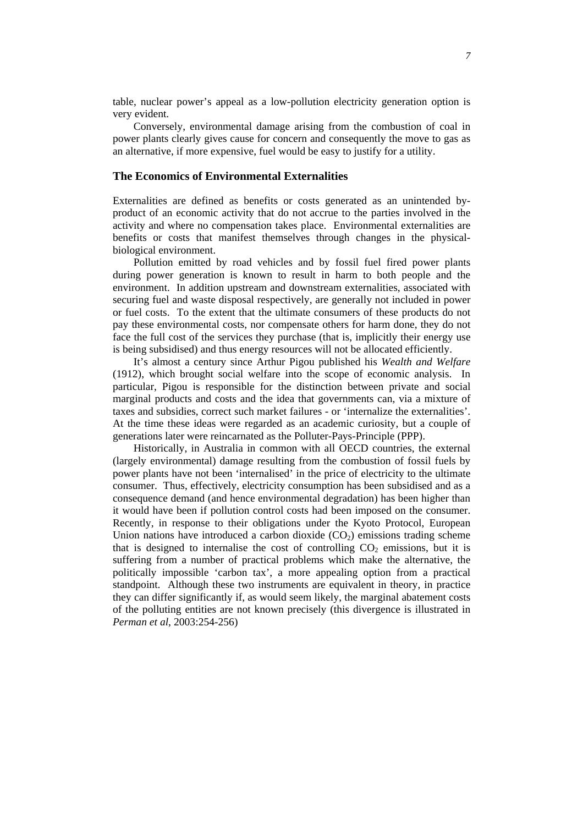table, nuclear power's appeal as a low-pollution electricity generation option is very evident.

Conversely, environmental damage arising from the combustion of coal in power plants clearly gives cause for concern and consequently the move to gas as an alternative, if more expensive, fuel would be easy to justify for a utility.

## **The Economics of Environmental Externalities**

Externalities are defined as benefits or costs generated as an unintended byproduct of an economic activity that do not accrue to the parties involved in the activity and where no compensation takes place. Environmental externalities are benefits or costs that manifest themselves through changes in the physicalbiological environment.

Pollution emitted by road vehicles and by fossil fuel fired power plants during power generation is known to result in harm to both people and the environment. In addition upstream and downstream externalities, associated with securing fuel and waste disposal respectively, are generally not included in power or fuel costs. To the extent that the ultimate consumers of these products do not pay these environmental costs, nor compensate others for harm done, they do not face the full cost of the services they purchase (that is, implicitly their energy use is being subsidised) and thus energy resources will not be allocated efficiently.

It's almost a century since Arthur Pigou published his *Wealth and Welfare*  (1912), which brought social welfare into the scope of economic analysis. In particular, Pigou is responsible for the distinction between private and social marginal products and costs and the idea that governments can, via a mixture of taxes and subsidies, correct such market failures - or 'internalize the externalities'. At the time these ideas were regarded as an academic curiosity, but a couple of generations later were reincarnated as the Polluter-Pays-Principle (PPP).

Historically, in Australia in common with all OECD countries, the external (largely environmental) damage resulting from the combustion of fossil fuels by power plants have not been 'internalised' in the price of electricity to the ultimate consumer. Thus, effectively, electricity consumption has been subsidised and as a consequence demand (and hence environmental degradation) has been higher than it would have been if pollution control costs had been imposed on the consumer. Recently, in response to their obligations under the Kyoto Protocol, European Union nations have introduced a carbon dioxide  $(CO<sub>2</sub>)$  emissions trading scheme that is designed to internalise the cost of controlling  $CO<sub>2</sub>$  emissions, but it is suffering from a number of practical problems which make the alternative, the politically impossible 'carbon tax', a more appealing option from a practical standpoint. Although these two instruments are equivalent in theory, in practice they can differ significantly if, as would seem likely, the marginal abatement costs of the polluting entities are not known precisely (this divergence is illustrated in *Perman et al*, 2003:254-256)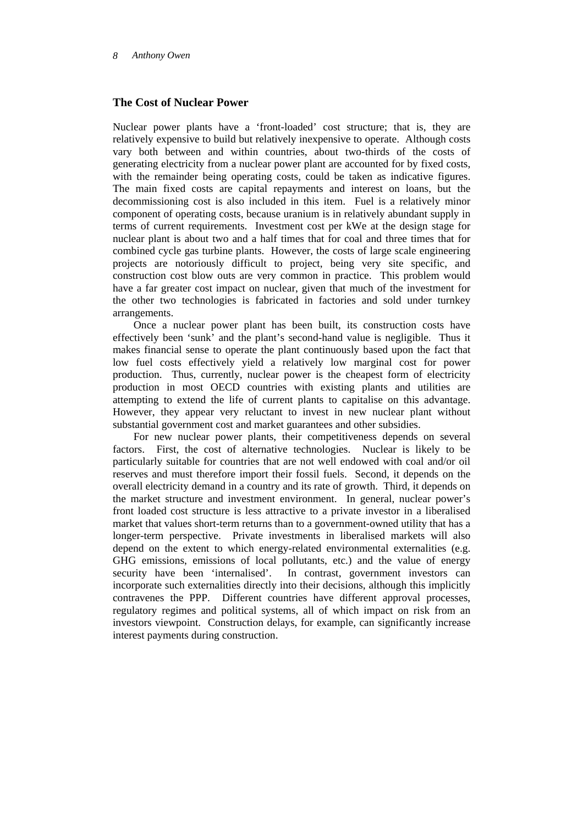## **The Cost of Nuclear Power**

Nuclear power plants have a 'front-loaded' cost structure; that is, they are relatively expensive to build but relatively inexpensive to operate. Although costs vary both between and within countries, about two-thirds of the costs of generating electricity from a nuclear power plant are accounted for by fixed costs, with the remainder being operating costs, could be taken as indicative figures. The main fixed costs are capital repayments and interest on loans, but the decommissioning cost is also included in this item. Fuel is a relatively minor component of operating costs, because uranium is in relatively abundant supply in terms of current requirements. Investment cost per kWe at the design stage for nuclear plant is about two and a half times that for coal and three times that for combined cycle gas turbine plants. However, the costs of large scale engineering projects are notoriously difficult to project, being very site specific, and construction cost blow outs are very common in practice. This problem would have a far greater cost impact on nuclear, given that much of the investment for the other two technologies is fabricated in factories and sold under turnkey arrangements.

Once a nuclear power plant has been built, its construction costs have effectively been 'sunk' and the plant's second-hand value is negligible. Thus it makes financial sense to operate the plant continuously based upon the fact that low fuel costs effectively yield a relatively low marginal cost for power production. Thus, currently, nuclear power is the cheapest form of electricity production in most OECD countries with existing plants and utilities are attempting to extend the life of current plants to capitalise on this advantage. However, they appear very reluctant to invest in new nuclear plant without substantial government cost and market guarantees and other subsidies.

For new nuclear power plants, their competitiveness depends on several factors. First, the cost of alternative technologies. Nuclear is likely to be particularly suitable for countries that are not well endowed with coal and/or oil reserves and must therefore import their fossil fuels. Second, it depends on the overall electricity demand in a country and its rate of growth. Third, it depends on the market structure and investment environment. In general, nuclear power's front loaded cost structure is less attractive to a private investor in a liberalised market that values short-term returns than to a government-owned utility that has a longer-term perspective. Private investments in liberalised markets will also depend on the extent to which energy-related environmental externalities (e.g. GHG emissions, emissions of local pollutants, etc.) and the value of energy security have been 'internalised'. In contrast, government investors can incorporate such externalities directly into their decisions, although this implicitly contravenes the PPP. Different countries have different approval processes, regulatory regimes and political systems, all of which impact on risk from an investors viewpoint. Construction delays, for example, can significantly increase interest payments during construction.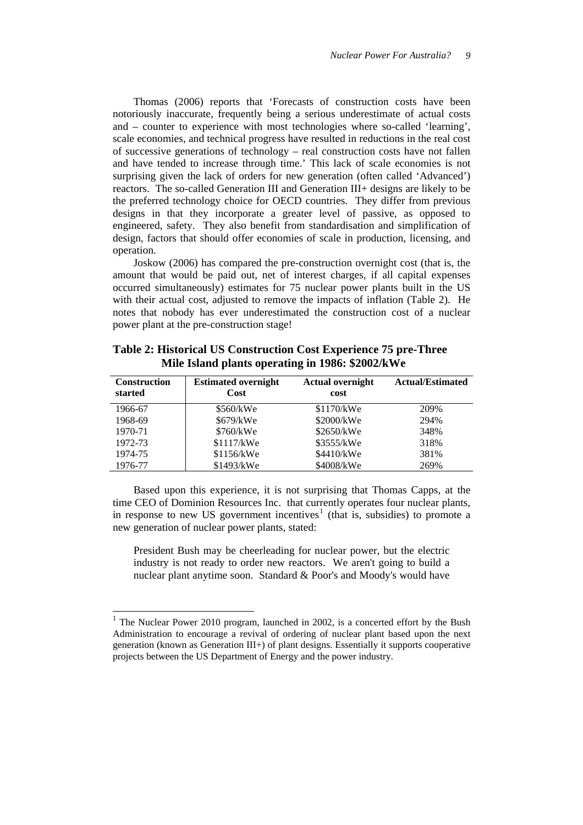Thomas (2006) reports that 'Forecasts of construction costs have been notoriously inaccurate, frequently being a serious underestimate of actual costs and – counter to experience with most technologies where so-called 'learning', scale economies, and technical progress have resulted in reductions in the real cost of successive generations of technology – real construction costs have not fallen and have tended to increase through time.' This lack of scale economies is not surprising given the lack of orders for new generation (often called 'Advanced') reactors. The so-called Generation III and Generation III+ designs are likely to be the preferred technology choice for OECD countries. They differ from previous designs in that they incorporate a greater level of passive, as opposed to engineered, safety. They also benefit from standardisation and simplification of design, factors that should offer economies of scale in production, licensing, and operation.

Joskow (2006) has compared the pre-construction overnight cost (that is, the amount that would be paid out, net of interest charges, if all capital expenses occurred simultaneously) estimates for 75 nuclear power plants built in the US with their actual cost, adjusted to remove the impacts of inflation (Table 2). He notes that nobody has ever underestimated the construction cost of a nuclear power plant at the pre-construction stage!

| <b>Construction</b><br>started | <b>Estimated overnight</b><br>Cost | <b>Actual overnight</b><br>cost | <b>Actual/Estimated</b> |
|--------------------------------|------------------------------------|---------------------------------|-------------------------|
| 1966-67                        | \$560/kWe                          | \$1170/kWe                      | 209%                    |
| 1968-69                        | \$679/kWe                          | \$2000/kWe                      | 294%                    |
| 1970-71                        | \$760/kWe                          | \$2650/kWe                      | 348%                    |
| 1972-73                        | \$1117/kWe                         | \$3555/kWe                      | 318%                    |
| 1974-75                        | \$1156/kWe                         | \$4410/kWe                      | 381%                    |
| 1976-77                        | \$1493/kWe                         | \$4008/kWe                      | 269%                    |

**Table 2: Historical US Construction Cost Experience 75 pre-Three Mile Island plants operating in 1986: \$2002/kWe** 

Based upon this experience, it is not surprising that Thomas Capps, at the time CEO of Dominion Resources Inc. that currently operates four nuclear plants, in response to new US government incentives<sup>[1](#page-8-0)</sup> (that is, subsidies) to promote a new generation of nuclear power plants, stated:

President Bush may be cheerleading for nuclear power, but the electric industry is not ready to order new reactors. We aren't going to build a nuclear plant anytime soon. Standard & Poor's and Moody's would have

l

<span id="page-8-0"></span><sup>&</sup>lt;sup>1</sup> The Nuclear Power 2010 program, launched in 2002, is a concerted effort by the Bush Administration to encourage a revival of ordering of nuclear plant based upon the next generation (known as Generation III+) of plant designs. Essentially it supports cooperative projects between the US Department of Energy and the power industry.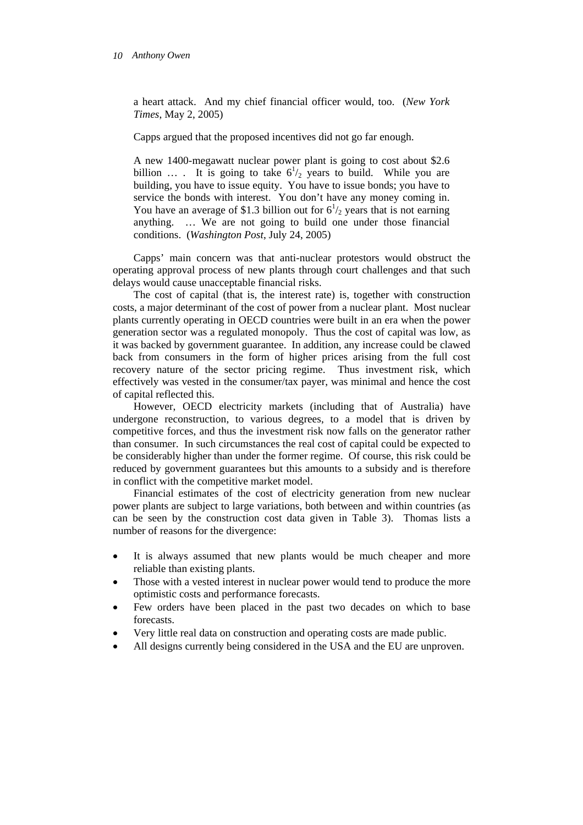a heart attack. And my chief financial officer would, too. (*New York Times*, May 2, 2005)

Capps argued that the proposed incentives did not go far enough.

A new 1400-megawatt nuclear power plant is going to cost about \$2.6 billion ... It is going to take  $6^{1}/2$  years to build. While you are building, you have to issue equity. You have to issue bonds; you have to service the bonds with interest. You don't have any money coming in. You have an average of \$1.3 billion out for  $6^{1/2}$  years that is not earning anything. … We are not going to build one under those financial conditions. (*Washington Post*, July 24, 2005)

Capps' main concern was that anti-nuclear protestors would obstruct the operating approval process of new plants through court challenges and that such delays would cause unacceptable financial risks.

The cost of capital (that is, the interest rate) is, together with construction costs, a major determinant of the cost of power from a nuclear plant. Most nuclear plants currently operating in OECD countries were built in an era when the power generation sector was a regulated monopoly. Thus the cost of capital was low, as it was backed by government guarantee. In addition, any increase could be clawed back from consumers in the form of higher prices arising from the full cost recovery nature of the sector pricing regime. Thus investment risk, which effectively was vested in the consumer/tax payer, was minimal and hence the cost of capital reflected this.

However, OECD electricity markets (including that of Australia) have undergone reconstruction, to various degrees, to a model that is driven by competitive forces, and thus the investment risk now falls on the generator rather than consumer. In such circumstances the real cost of capital could be expected to be considerably higher than under the former regime. Of course, this risk could be reduced by government guarantees but this amounts to a subsidy and is therefore in conflict with the competitive market model.

Financial estimates of the cost of electricity generation from new nuclear power plants are subject to large variations, both between and within countries (as can be seen by the construction cost data given in Table 3). Thomas lists a number of reasons for the divergence:

- It is always assumed that new plants would be much cheaper and more reliable than existing plants.
- Those with a vested interest in nuclear power would tend to produce the more optimistic costs and performance forecasts.
- Few orders have been placed in the past two decades on which to base forecasts.
- Very little real data on construction and operating costs are made public.
- All designs currently being considered in the USA and the EU are unproven.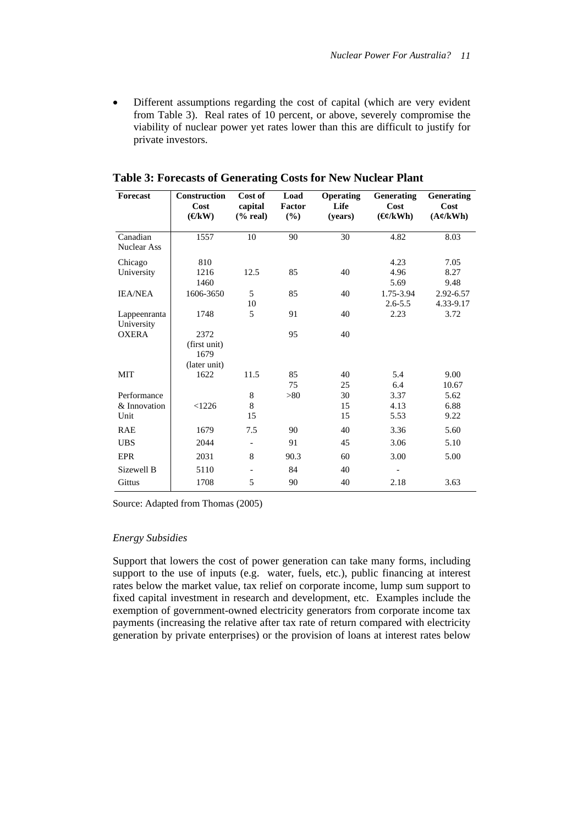• Different assumptions regarding the cost of capital (which are very evident from Table 3). Real rates of 10 percent, or above, severely compromise the viability of nuclear power yet rates lower than this are difficult to justify for private investors.

| Forecast                   | <b>Construction</b><br>Cost<br>$(\mathbf{K}$ W) | Cost of<br>capital<br>$%$ real) | Load<br>Factor<br>(%) | <b>Operating</b><br>Life<br>(vears) | <b>Generating</b><br>Cost<br>$(\mathbf{\Theta} / \mathbf{k} \mathbf{W} \mathbf{h})$ | <b>Generating</b><br>Cost<br>$(A \notin /kWh)$ |
|----------------------------|-------------------------------------------------|---------------------------------|-----------------------|-------------------------------------|-------------------------------------------------------------------------------------|------------------------------------------------|
| Canadian                   | 1557                                            | 10                              | 90                    | 30                                  | 4.82                                                                                | 8.03                                           |
| Nuclear Ass                |                                                 |                                 |                       |                                     |                                                                                     |                                                |
| Chicago                    | 810                                             |                                 |                       |                                     | 4.23                                                                                | 7.05                                           |
| University                 | 1216                                            | 12.5                            | 85                    | 40                                  | 4.96                                                                                | 8.27                                           |
|                            | 1460                                            |                                 |                       |                                     | 5.69                                                                                | 9.48                                           |
| <b>IEA/NEA</b>             | 1606-3650                                       | 5                               | 85                    | 40                                  | 1.75-3.94                                                                           | 2.92-6.57                                      |
|                            |                                                 | 10                              |                       |                                     | $2.6 - 5.5$                                                                         | 4.33-9.17                                      |
| Lappeenranta               | 1748                                            | 5                               | 91                    | 40                                  | 2.23                                                                                | 3.72                                           |
| University<br><b>OXERA</b> | 2372                                            |                                 | 95                    | 40                                  |                                                                                     |                                                |
|                            | (first unit)                                    |                                 |                       |                                     |                                                                                     |                                                |
|                            | 1679                                            |                                 |                       |                                     |                                                                                     |                                                |
|                            | (later unit)                                    |                                 |                       |                                     |                                                                                     |                                                |
| <b>MIT</b>                 | 1622                                            | 11.5                            | 85                    | 40                                  | 5.4                                                                                 | 9.00                                           |
|                            |                                                 |                                 | 75                    | 25                                  | 6.4                                                                                 | 10.67                                          |
| Performance                |                                                 | 8                               | > 80                  | 30                                  | 3.37                                                                                | 5.62                                           |
| & Innovation               | < 1226                                          | 8                               |                       | 15                                  | 4.13                                                                                | 6.88                                           |
| Unit                       |                                                 | 15                              |                       | 15                                  | 5.53                                                                                | 9.22                                           |
| <b>RAE</b>                 | 1679                                            | 7.5                             | 90                    | 40                                  | 3.36                                                                                | 5.60                                           |
| <b>UBS</b>                 | 2044                                            | $\overline{\phantom{a}}$        | 91                    | 45                                  | 3.06                                                                                | 5.10                                           |
| <b>EPR</b>                 | 2031                                            | 8                               | 90.3                  | 60                                  | 3.00                                                                                | 5.00                                           |
| Sizewell B                 | 5110                                            |                                 | 84                    | 40                                  |                                                                                     |                                                |
| Gittus                     | 1708                                            | 5                               | 90                    | 40                                  | 2.18                                                                                | 3.63                                           |

**Table 3: Forecasts of Generating Costs for New Nuclear Plant** 

Source: Adapted from Thomas (2005)

### *Energy Subsidies*

Support that lowers the cost of power generation can take many forms, including support to the use of inputs (e.g. water, fuels, etc.), public financing at interest rates below the market value, tax relief on corporate income, lump sum support to fixed capital investment in research and development, etc. Examples include the exemption of government-owned electricity generators from corporate income tax payments (increasing the relative after tax rate of return compared with electricity generation by private enterprises) or the provision of loans at interest rates below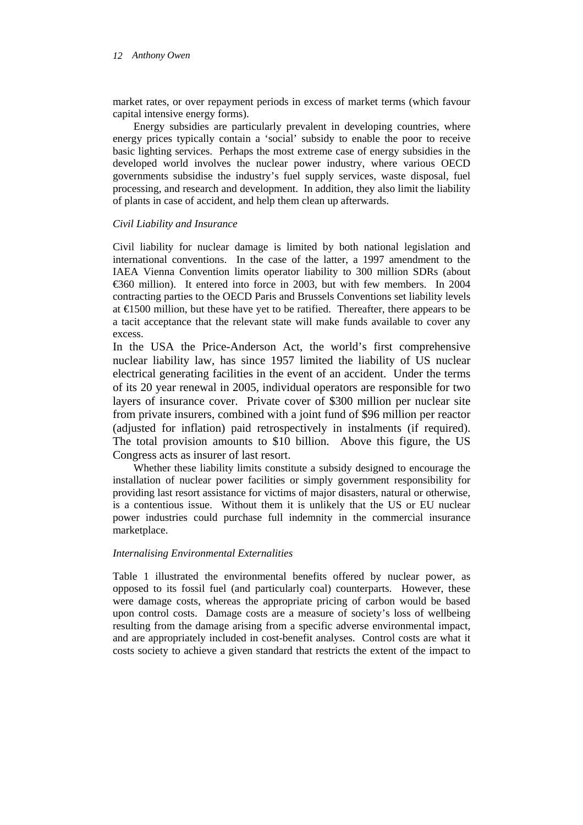market rates, or over repayment periods in excess of market terms (which favour capital intensive energy forms).

Energy subsidies are particularly prevalent in developing countries, where energy prices typically contain a 'social' subsidy to enable the poor to receive basic lighting services. Perhaps the most extreme case of energy subsidies in the developed world involves the nuclear power industry, where various OECD governments subsidise the industry's fuel supply services, waste disposal, fuel processing, and research and development. In addition, they also limit the liability of plants in case of accident, and help them clean up afterwards.

### *Civil Liability and Insurance*

Civil liability for nuclear damage is limited by both national legislation and international conventions. In the case of the latter, a 1997 amendment to the IAEA Vienna Convention limits operator liability to 300 million SDRs (about €360 million). It entered into force in 2003, but with few members. In 2004 contracting parties to the OECD Paris and Brussels Conventions set liability levels at €1500 million, but these have yet to be ratified. Thereafter, there appears to be a tacit acceptance that the relevant state will make funds available to cover any excess.

In the USA the Price-Anderson Act, the world's first comprehensive nuclear liability law, has since 1957 limited the liability of US nuclear electrical generating facilities in the event of an accident. Under the terms of its 20 year renewal in 2005, individual operators are responsible for two layers of insurance cover. Private cover of \$300 million per nuclear site from private insurers, combined with a joint fund of \$96 million per reactor (adjusted for inflation) paid retrospectively in instalments (if required). The total provision amounts to \$10 billion. Above this figure, the US Congress acts as insurer of last resort.

Whether these liability limits constitute a subsidy designed to encourage the installation of nuclear power facilities or simply government responsibility for providing last resort assistance for victims of major disasters, natural or otherwise, is a contentious issue. Without them it is unlikely that the US or EU nuclear power industries could purchase full indemnity in the commercial insurance marketplace.

## *Internalising Environmental Externalities*

Table 1 illustrated the environmental benefits offered by nuclear power, as opposed to its fossil fuel (and particularly coal) counterparts. However, these were damage costs, whereas the appropriate pricing of carbon would be based upon control costs. Damage costs are a measure of society's loss of wellbeing resulting from the damage arising from a specific adverse environmental impact, and are appropriately included in cost-benefit analyses. Control costs are what it costs society to achieve a given standard that restricts the extent of the impact to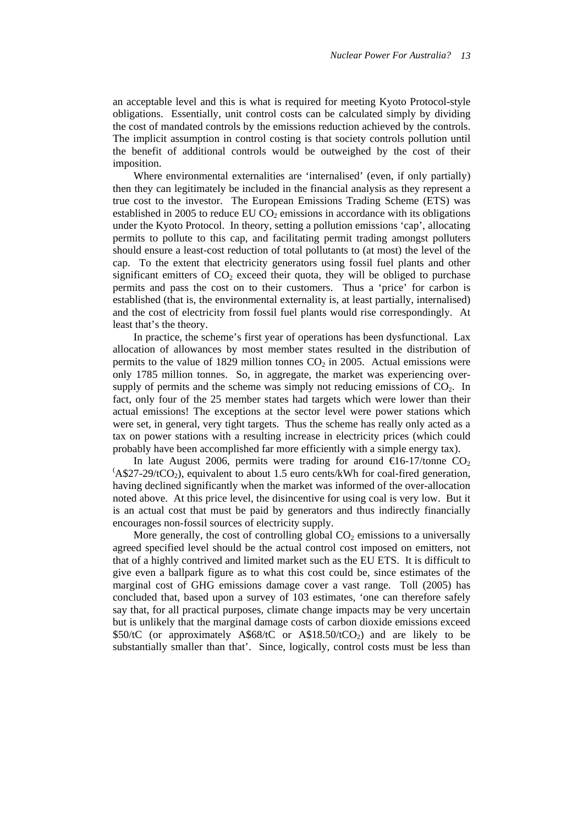an acceptable level and this is what is required for meeting Kyoto Protocol-style obligations. Essentially, unit control costs can be calculated simply by dividing the cost of mandated controls by the emissions reduction achieved by the controls. The implicit assumption in control costing is that society controls pollution until the benefit of additional controls would be outweighed by the cost of their imposition.

Where environmental externalities are 'internalised' (even, if only partially) then they can legitimately be included in the financial analysis as they represent a true cost to the investor. The European Emissions Trading Scheme (ETS) was established in 2005 to reduce EU  $CO<sub>2</sub>$  emissions in accordance with its obligations under the Kyoto Protocol. In theory, setting a pollution emissions 'cap', allocating permits to pollute to this cap, and facilitating permit trading amongst polluters should ensure a least-cost reduction of total pollutants to (at most) the level of the cap. To the extent that electricity generators using fossil fuel plants and other significant emitters of  $CO<sub>2</sub>$  exceed their quota, they will be obliged to purchase permits and pass the cost on to their customers. Thus a 'price' for carbon is established (that is, the environmental externality is, at least partially, internalised) and the cost of electricity from fossil fuel plants would rise correspondingly. At least that's the theory.

In practice, the scheme's first year of operations has been dysfunctional. Lax allocation of allowances by most member states resulted in the distribution of permits to the value of 1829 million tonnes  $CO<sub>2</sub>$  in 2005. Actual emissions were only 1785 million tonnes. So, in aggregate, the market was experiencing oversupply of permits and the scheme was simply not reducing emissions of  $CO<sub>2</sub>$ . In fact, only four of the 25 member states had targets which were lower than their actual emissions! The exceptions at the sector level were power stations which were set, in general, very tight targets. Thus the scheme has really only acted as a tax on power stations with a resulting increase in electricity prices (which could probably have been accomplished far more efficiently with a simple energy tax).

In late August 2006, permits were trading for around  $\epsilon$ 16-17/tonne CO<sub>2</sub>  $(A$27-29/tCO<sub>2</sub>)$ , equivalent to about 1.5 euro cents/kWh for coal-fired generation, having declined significantly when the market was informed of the over-allocation noted above. At this price level, the disincentive for using coal is very low. But it is an actual cost that must be paid by generators and thus indirectly financially encourages non-fossil sources of electricity supply.

More generally, the cost of controlling global  $CO<sub>2</sub>$  emissions to a universally agreed specified level should be the actual control cost imposed on emitters, not that of a highly contrived and limited market such as the EU ETS. It is difficult to give even a ballpark figure as to what this cost could be, since estimates of the marginal cost of GHG emissions damage cover a vast range. Toll (2005) has concluded that, based upon a survey of 103 estimates, 'one can therefore safely say that, for all practical purposes, climate change impacts may be very uncertain but is unlikely that the marginal damage costs of carbon dioxide emissions exceed \$50/tC (or approximately  $A$68/tC$  or  $A$18.50/tCO<sub>2</sub>$ ) and are likely to be substantially smaller than that'. Since, logically, control costs must be less than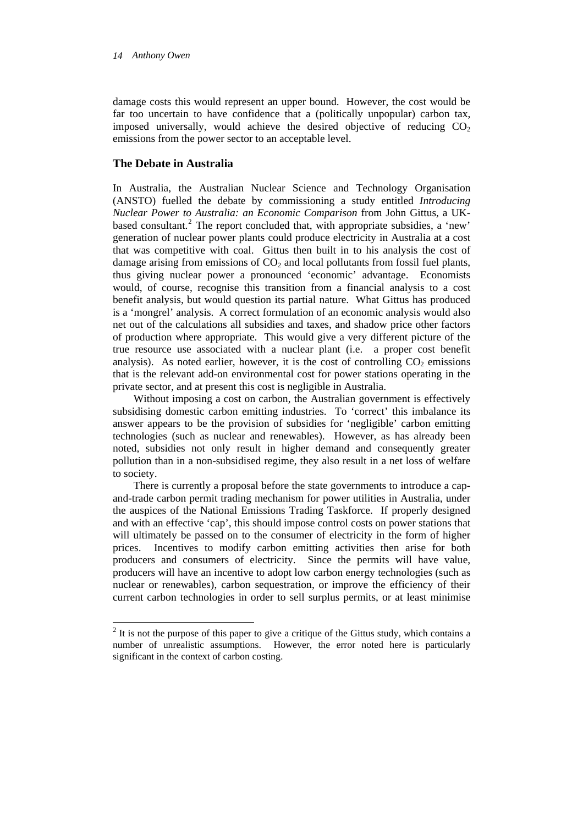damage costs this would represent an upper bound. However, the cost would be far too uncertain to have confidence that a (politically unpopular) carbon tax, imposed universally, would achieve the desired objective of reducing  $CO<sub>2</sub>$ emissions from the power sector to an acceptable level.

## **The Debate in Australia**

In Australia, the Australian Nuclear Science and Technology Organisation (ANSTO) fuelled the debate by commissioning a study entitled *Introducing Nuclear Power to Australia: an Economic Comparison* from John Gittus, a UK-based consultant.<sup>[2](#page-13-0)</sup> The report concluded that, with appropriate subsidies, a 'new' generation of nuclear power plants could produce electricity in Australia at a cost that was competitive with coal. Gittus then built in to his analysis the cost of damage arising from emissions of  $CO<sub>2</sub>$  and local pollutants from fossil fuel plants, thus giving nuclear power a pronounced 'economic' advantage. Economists would, of course, recognise this transition from a financial analysis to a cost benefit analysis, but would question its partial nature. What Gittus has produced is a 'mongrel' analysis. A correct formulation of an economic analysis would also net out of the calculations all subsidies and taxes, and shadow price other factors of production where appropriate. This would give a very different picture of the true resource use associated with a nuclear plant (i.e. a proper cost benefit analysis). As noted earlier, however, it is the cost of controlling  $CO<sub>2</sub>$  emissions that is the relevant add-on environmental cost for power stations operating in the private sector, and at present this cost is negligible in Australia.

Without imposing a cost on carbon, the Australian government is effectively subsidising domestic carbon emitting industries. To 'correct' this imbalance its answer appears to be the provision of subsidies for 'negligible' carbon emitting technologies (such as nuclear and renewables). However, as has already been noted, subsidies not only result in higher demand and consequently greater pollution than in a non-subsidised regime, they also result in a net loss of welfare to society.

There is currently a proposal before the state governments to introduce a capand-trade carbon permit trading mechanism for power utilities in Australia, under the auspices of the National Emissions Trading Taskforce. If properly designed and with an effective 'cap', this should impose control costs on power stations that will ultimately be passed on to the consumer of electricity in the form of higher prices. Incentives to modify carbon emitting activities then arise for both producers and consumers of electricity. Since the permits will have value, producers will have an incentive to adopt low carbon energy technologies (such as nuclear or renewables), carbon sequestration, or improve the efficiency of their current carbon technologies in order to sell surplus permits, or at least minimise

<span id="page-13-0"></span><sup>&</sup>lt;sup>2</sup> It is not the purpose of this paper to give a critique of the Gittus study, which contains a number of unrealistic assumptions. However, the error noted here is particularly significant in the context of carbon costing.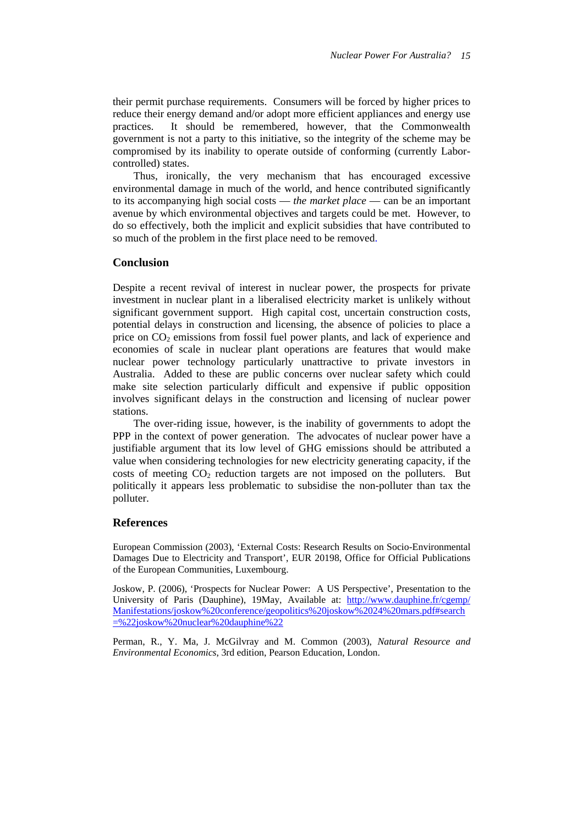their permit purchase requirements. Consumers will be forced by higher prices to reduce their energy demand and/or adopt more efficient appliances and energy use practices. It should be remembered, however, that the Commonwealth government is not a party to this initiative, so the integrity of the scheme may be compromised by its inability to operate outside of conforming (currently Laborcontrolled) states.

Thus, ironically, the very mechanism that has encouraged excessive environmental damage in much of the world, and hence contributed significantly to its accompanying high social costs — *the market place* — can be an important avenue by which environmental objectives and targets could be met. However, to do so effectively, both the implicit and explicit subsidies that have contributed to so much of the problem in the first place need to be removed.

## **Conclusion**

Despite a recent revival of interest in nuclear power, the prospects for private investment in nuclear plant in a liberalised electricity market is unlikely without significant government support. High capital cost, uncertain construction costs, potential delays in construction and licensing, the absence of policies to place a price on  $CO<sub>2</sub>$  emissions from fossil fuel power plants, and lack of experience and economies of scale in nuclear plant operations are features that would make nuclear power technology particularly unattractive to private investors in Australia. Added to these are public concerns over nuclear safety which could make site selection particularly difficult and expensive if public opposition involves significant delays in the construction and licensing of nuclear power stations.

The over-riding issue, however, is the inability of governments to adopt the PPP in the context of power generation. The advocates of nuclear power have a justifiable argument that its low level of GHG emissions should be attributed a value when considering technologies for new electricity generating capacity, if the costs of meeting  $CO<sub>2</sub>$  reduction targets are not imposed on the polluters. But politically it appears less problematic to subsidise the non-polluter than tax the polluter.

## **References**

European Commission (2003), 'External Costs: Research Results on Socio-Environmental Damages Due to Electricity and Transport', EUR 20198, Office for Official Publications of the European Communities, Luxembourg.

Joskow, P. (2006), 'Prospects for Nuclear Power: A US Perspective', Presentation to the University of Paris (Dauphine), 19May, Available at: [http://www.dauphine.fr/cgemp/](http://www.dauphine.fr/cgemp/Manifestations/joskow conference/geopolitics joskow 24 mars.pdf#search=%22joskow%20nuclear%20dauphine%22) [Manifestations/joskow%20conference/geopolitics%20joskow%2024%20mars.pdf#search](http://www.dauphine.fr/cgemp/Manifestations/joskow conference/geopolitics joskow 24 mars.pdf#search=%22joskow%20nuclear%20dauphine%22) [=%22joskow%20nuclear%20dauphine%22](http://www.dauphine.fr/cgemp/Manifestations/joskow conference/geopolitics joskow 24 mars.pdf#search=%22joskow%20nuclear%20dauphine%22)

Perman, R., Y. Ma, J. McGilvray and M. Common (2003), *Natural Resource and Environmental Economics*, 3rd edition, Pearson Education, London.